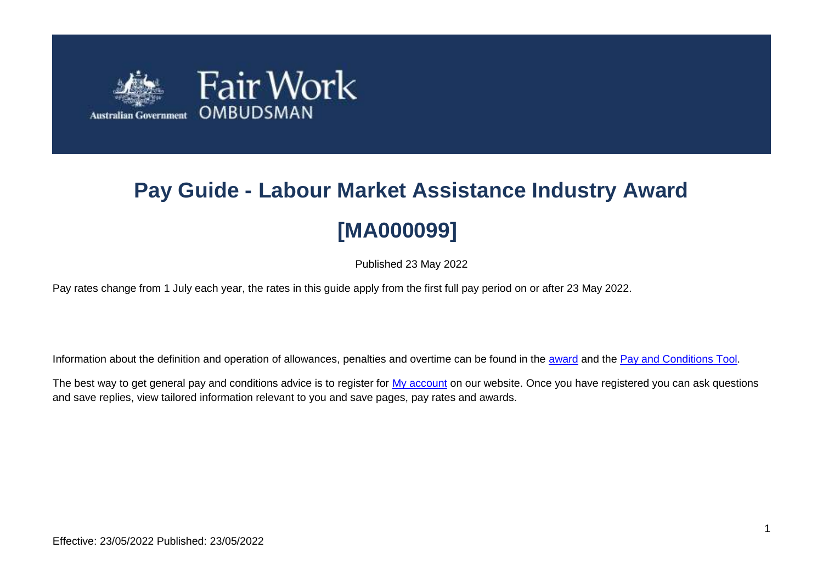

# **Pay Guide - Labour Market Assistance Industry Award [MA000099]**

Published 23 May 2022

Pay rates change from 1 July each year, the rates in this guide apply from the first full pay period on or after 23 May 2022.

Information about the definition and operation of allowances, penalties and overtime can be found in the [award](https://www.fairwork.gov.au/awards-and-agreements/awards/list-of-awards) and the [Pay and Conditions Tool.](https://calculate.fairwork.gov.au/)

The best way to get general pay and conditions advice is to register for [My account](https://www.fairwork.gov.au/my-account/registerpage.aspx) on our website. Once you have registered you can ask questions and save replies, view tailored information relevant to you and save pages, pay rates and awards.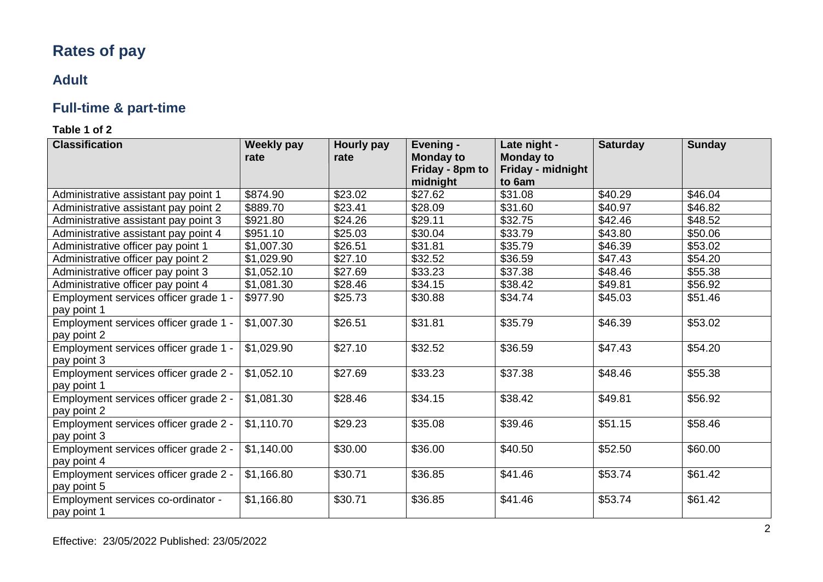# **Rates of pay**

## **Adult**

# **Full-time & part-time**

## **Table 1 of 2**

| <b>Classification</b>                 | <b>Weekly pay</b> | Hourly pay | <b>Evening -</b>                    | Late night -                          | <b>Saturday</b> | <b>Sunday</b> |
|---------------------------------------|-------------------|------------|-------------------------------------|---------------------------------------|-----------------|---------------|
|                                       | rate              | rate       | <b>Monday to</b><br>Friday - 8pm to | <b>Monday to</b><br>Friday - midnight |                 |               |
|                                       |                   |            | midnight                            | to 6am                                |                 |               |
| Administrative assistant pay point 1  | \$874.90          | \$23.02    | \$27.62                             | \$31.08                               | \$40.29         | \$46.04       |
| Administrative assistant pay point 2  | \$889.70          | \$23.41    | \$28.09                             | \$31.60                               | \$40.97         | \$46.82       |
| Administrative assistant pay point 3  | \$921.80          | \$24.26    | \$29.11                             | \$32.75                               | \$42.46         | \$48.52       |
| Administrative assistant pay point 4  | \$951.10          | \$25.03    | \$30.04                             | \$33.79                               | \$43.80         | \$50.06       |
| Administrative officer pay point 1    | \$1,007.30        | \$26.51    | \$31.81                             | \$35.79                               | \$46.39         | \$53.02       |
| Administrative officer pay point 2    | \$1,029.90        | \$27.10    | \$32.52                             | \$36.59                               | \$47.43         | \$54.20       |
| Administrative officer pay point 3    | \$1,052.10        | \$27.69    | \$33.23                             | \$37.38                               | \$48.46         | \$55.38       |
| Administrative officer pay point 4    | \$1,081.30        | \$28.46    | \$34.15                             | \$38.42                               | \$49.81         | \$56.92       |
| Employment services officer grade 1 - | \$977.90          | \$25.73    | \$30.88                             | \$34.74                               | \$45.03         | \$51.46       |
| pay point 1                           |                   |            |                                     |                                       |                 |               |
| Employment services officer grade 1 - | \$1,007.30        | \$26.51    | \$31.81                             | \$35.79                               | \$46.39         | \$53.02       |
| pay point 2                           |                   |            |                                     |                                       |                 |               |
| Employment services officer grade 1 - | \$1,029.90        | \$27.10    | \$32.52                             | \$36.59                               | \$47.43         | \$54.20       |
| pay point 3                           |                   |            |                                     |                                       |                 |               |
| Employment services officer grade 2 - | \$1,052.10        | \$27.69    | \$33.23                             | \$37.38                               | \$48.46         | \$55.38       |
| pay point 1                           |                   |            |                                     |                                       |                 |               |
| Employment services officer grade 2 - | \$1,081.30        | \$28.46    | \$34.15                             | \$38.42                               | \$49.81         | \$56.92       |
| pay point 2                           |                   |            |                                     |                                       |                 |               |
| Employment services officer grade 2 - | \$1,110.70        | \$29.23    | \$35.08                             | \$39.46                               | \$51.15         | \$58.46       |
| pay point 3                           |                   |            |                                     |                                       |                 |               |
| Employment services officer grade 2 - | \$1,140.00        | \$30.00    | \$36.00                             | \$40.50                               | \$52.50         | \$60.00       |
| pay point 4                           |                   |            |                                     |                                       |                 |               |
| Employment services officer grade 2 - | \$1,166.80        | \$30.71    | \$36.85                             | \$41.46                               | \$53.74         | \$61.42       |
| pay point 5                           |                   |            |                                     |                                       |                 |               |
| Employment services co-ordinator -    | \$1,166.80        | \$30.71    | \$36.85                             | \$41.46                               | \$53.74         | \$61.42       |
| pay point 1                           |                   |            |                                     |                                       |                 |               |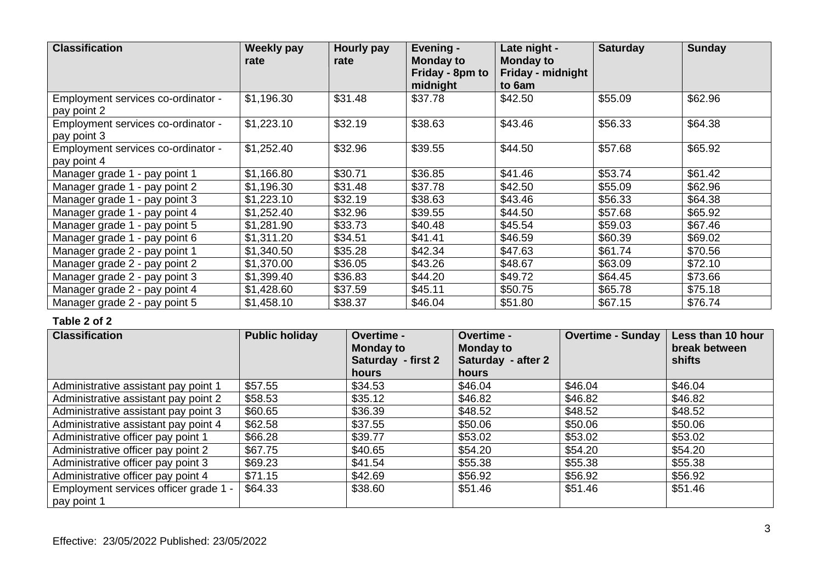| <b>Classification</b>                             | <b>Weekly pay</b><br>rate | Hourly pay<br>rate | Evening -<br><b>Monday to</b><br>Friday - 8pm to<br>midnight | Late night -<br><b>Monday to</b><br>Friday - midnight<br>to 6am | <b>Saturday</b> | <b>Sunday</b> |
|---------------------------------------------------|---------------------------|--------------------|--------------------------------------------------------------|-----------------------------------------------------------------|-----------------|---------------|
| Employment services co-ordinator -<br>pay point 2 | \$1,196.30                | \$31.48            | \$37.78                                                      | \$42.50                                                         | \$55.09         | \$62.96       |
| Employment services co-ordinator -<br>pay point 3 | \$1,223.10                | \$32.19            | \$38.63                                                      | \$43.46                                                         | \$56.33         | \$64.38       |
| Employment services co-ordinator -<br>pay point 4 | \$1,252.40                | \$32.96            | \$39.55                                                      | \$44.50                                                         | \$57.68         | \$65.92       |
| Manager grade 1 - pay point 1                     | \$1,166.80                | \$30.71            | \$36.85                                                      | \$41.46                                                         | \$53.74         | \$61.42       |
| Manager grade 1 - pay point 2                     | \$1,196.30                | \$31.48            | \$37.78                                                      | \$42.50                                                         | \$55.09         | \$62.96       |
| Manager grade 1 - pay point 3                     | \$1,223.10                | \$32.19            | \$38.63                                                      | \$43.46                                                         | \$56.33         | \$64.38       |
| Manager grade 1 - pay point 4                     | \$1,252.40                | \$32.96            | \$39.55                                                      | \$44.50                                                         | \$57.68         | \$65.92       |
| Manager grade 1 - pay point 5                     | \$1,281.90                | \$33.73            | \$40.48                                                      | \$45.54                                                         | \$59.03         | \$67.46       |
| Manager grade 1 - pay point 6                     | \$1,311.20                | \$34.51            | \$41.41                                                      | \$46.59                                                         | \$60.39         | \$69.02       |
| Manager grade 2 - pay point 1                     | \$1,340.50                | \$35.28            | \$42.34                                                      | \$47.63                                                         | \$61.74         | \$70.56       |
| Manager grade 2 - pay point 2                     | \$1,370.00                | \$36.05            | \$43.26                                                      | \$48.67                                                         | \$63.09         | \$72.10       |
| Manager grade 2 - pay point 3                     | \$1,399.40                | \$36.83            | \$44.20                                                      | \$49.72                                                         | \$64.45         | \$73.66       |
| Manager grade 2 - pay point 4                     | \$1,428.60                | \$37.59            | \$45.11                                                      | \$50.75                                                         | \$65.78         | \$75.18       |
| Manager grade 2 - pay point 5                     | \$1,458.10                | \$38.37            | \$46.04                                                      | \$51.80                                                         | \$67.15         | \$76.74       |

## **Table 2 of 2**

| <b>Classification</b>                 | <b>Public holiday</b> | <b>Overtime -</b><br><b>Monday to</b><br>Saturday - first 2<br>hours | <b>Overtime -</b><br><b>Monday to</b><br>Saturday - after 2<br>hours | <b>Overtime - Sunday</b> | Less than 10 hour<br>break between<br>shifts |
|---------------------------------------|-----------------------|----------------------------------------------------------------------|----------------------------------------------------------------------|--------------------------|----------------------------------------------|
| Administrative assistant pay point 1  | \$57.55               | \$34.53                                                              | \$46.04                                                              | \$46.04                  | \$46.04                                      |
| Administrative assistant pay point 2  | \$58.53               | \$35.12                                                              | \$46.82                                                              | \$46.82                  | \$46.82                                      |
| Administrative assistant pay point 3  | \$60.65               | \$36.39                                                              | \$48.52                                                              | \$48.52                  | \$48.52                                      |
| Administrative assistant pay point 4  | \$62.58               | \$37.55                                                              | \$50.06                                                              | \$50.06                  | \$50.06                                      |
| Administrative officer pay point 1    | \$66.28               | \$39.77                                                              | \$53.02                                                              | \$53.02                  | \$53.02                                      |
| Administrative officer pay point 2    | \$67.75               | \$40.65                                                              | \$54.20                                                              | \$54.20                  | \$54.20                                      |
| Administrative officer pay point 3    | \$69.23               | \$41.54                                                              | \$55.38                                                              | \$55.38                  | \$55.38                                      |
| Administrative officer pay point 4    | \$71.15               | \$42.69                                                              | \$56.92                                                              | \$56.92                  | \$56.92                                      |
| Employment services officer grade 1 - | \$64.33               | \$38.60                                                              | \$51.46                                                              | \$51.46                  | \$51.46                                      |
| pay point 1                           |                       |                                                                      |                                                                      |                          |                                              |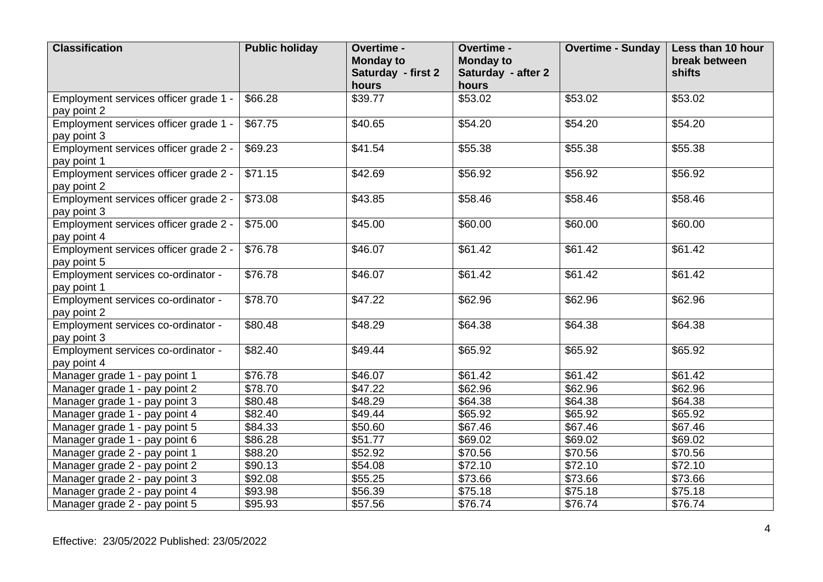| <b>Classification</b>                                | <b>Public holiday</b> | Overtime -<br><b>Monday to</b><br>Saturday - first 2<br>hours | Overtime -<br><b>Monday to</b><br>Saturday - after 2<br>hours | <b>Overtime - Sunday</b> | Less than 10 hour<br>break between<br>shifts |
|------------------------------------------------------|-----------------------|---------------------------------------------------------------|---------------------------------------------------------------|--------------------------|----------------------------------------------|
| Employment services officer grade 1 -<br>pay point 2 | \$66.28               | \$39.77                                                       | \$53.02                                                       | \$53.02                  | \$53.02                                      |
| Employment services officer grade 1 -<br>pay point 3 | \$67.75               | \$40.65                                                       | \$54.20                                                       | \$54.20                  | \$54.20                                      |
| Employment services officer grade 2 -<br>pay point 1 | \$69.23               | \$41.54                                                       | \$55.38                                                       | \$55.38                  | \$55.38                                      |
| Employment services officer grade 2 -<br>pay point 2 | \$71.15               | \$42.69                                                       | \$56.92                                                       | \$56.92                  | \$56.92                                      |
| Employment services officer grade 2 -<br>pay point 3 | \$73.08               | \$43.85                                                       | \$58.46                                                       | \$58.46                  | \$58.46                                      |
| Employment services officer grade 2 -<br>pay point 4 | \$75.00               | \$45.00                                                       | \$60.00                                                       | \$60.00                  | \$60.00                                      |
| Employment services officer grade 2 -<br>pay point 5 | \$76.78               | \$46.07                                                       | \$61.42                                                       | \$61.42                  | \$61.42                                      |
| Employment services co-ordinator -<br>pay point 1    | \$76.78               | \$46.07                                                       | \$61.42                                                       | \$61.42                  | \$61.42                                      |
| Employment services co-ordinator -<br>pay point 2    | \$78.70               | \$47.22                                                       | \$62.96                                                       | \$62.96                  | \$62.96                                      |
| Employment services co-ordinator -<br>pay point 3    | \$80.48               | \$48.29                                                       | \$64.38                                                       | \$64.38                  | \$64.38                                      |
| Employment services co-ordinator -<br>pay point 4    | \$82.40               | \$49.44                                                       | \$65.92                                                       | \$65.92                  | \$65.92                                      |
| Manager grade 1 - pay point 1                        | \$76.78               | \$46.07                                                       | \$61.42                                                       | \$61.42                  | \$61.42                                      |
| Manager grade 1 - pay point 2                        | \$78.70               | \$47.22                                                       | \$62.96                                                       | \$62.96                  | \$62.96                                      |
| Manager grade 1 - pay point 3                        | \$80.48               | \$48.29                                                       | \$64.38                                                       | \$64.38                  | \$64.38                                      |
| Manager grade 1 - pay point 4                        | \$82.40               | \$49.44                                                       | \$65.92                                                       | \$65.92                  | \$65.92                                      |
| Manager grade 1 - pay point 5                        | \$84.33               | \$50.60                                                       | \$67.46                                                       | \$67.46                  | \$67.46                                      |
| Manager grade 1 - pay point 6                        | \$86.28               | \$51.77                                                       | \$69.02                                                       | \$69.02                  | \$69.02                                      |
| Manager grade 2 - pay point 1                        | \$88.20               | \$52.92                                                       | \$70.56                                                       | \$70.56                  | \$70.56                                      |
| Manager grade 2 - pay point 2                        | \$90.13               | \$54.08                                                       | \$72.10                                                       | \$72.10                  | \$72.10                                      |
| Manager grade 2 - pay point 3                        | \$92.08               | \$55.25                                                       | \$73.66                                                       | \$73.66                  | \$73.66                                      |
| Manager grade 2 - pay point 4                        | \$93.98               | \$56.39                                                       | \$75.18                                                       | \$75.18                  | \$75.18                                      |
| Manager grade 2 - pay point 5                        | $\overline{$}95.93$   | \$57.56                                                       | \$76.74                                                       | \$76.74                  | \$76.74                                      |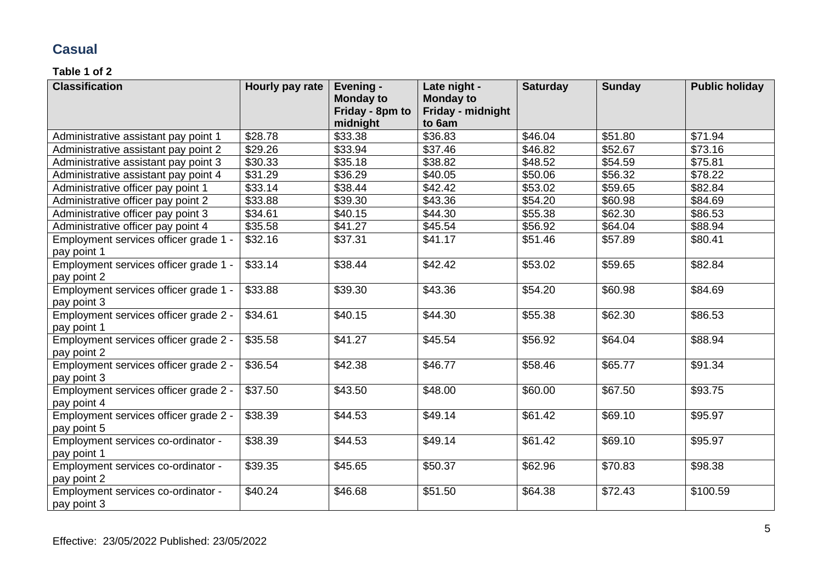## **Casual**

#### **Table 1 of 2**

| <b>Classification</b>                 | Hourly pay rate     | Evening -        | Late night -      | <b>Saturday</b> | <b>Sunday</b> | <b>Public holiday</b> |
|---------------------------------------|---------------------|------------------|-------------------|-----------------|---------------|-----------------------|
|                                       |                     | <b>Monday to</b> | <b>Monday to</b>  |                 |               |                       |
|                                       |                     | Friday - 8pm to  | Friday - midnight |                 |               |                       |
|                                       |                     | midnight         | to 6am            |                 |               |                       |
| Administrative assistant pay point 1  | \$28.78             | \$33.38          | \$36.83           | \$46.04         | \$51.80       | \$71.94               |
| Administrative assistant pay point 2  | \$29.26             | \$33.94          | \$37.46           | \$46.82         | \$52.67       | \$73.16               |
| Administrative assistant pay point 3  | \$30.33             | \$35.18          | \$38.82           | \$48.52         | \$54.59       | \$75.81               |
| Administrative assistant pay point 4  | \$31.29             | \$36.29          | \$40.05           | \$50.06         | \$56.32       | \$78.22               |
| Administrative officer pay point 1    | \$33.14             | \$38.44          | \$42.42           | \$53.02         | \$59.65       | \$82.84               |
| Administrative officer pay point 2    | \$33.88             | \$39.30          | \$43.36           | \$54.20         | \$60.98       | \$84.69               |
| Administrative officer pay point 3    | \$34.61             | \$40.15          | \$44.30           | \$55.38         | \$62.30       | \$86.53               |
| Administrative officer pay point 4    | \$35.58             | \$41.27          | \$45.54           | \$56.92         | \$64.04       | \$88.94               |
| Employment services officer grade 1 - | \$32.16             | \$37.31          | \$41.17           | \$51.46         | \$57.89       | \$80.41               |
| pay point 1                           |                     |                  |                   |                 |               |                       |
| Employment services officer grade 1 - | \$33.14             | \$38.44          | \$42.42           | \$53.02         | \$59.65       | \$82.84               |
| pay point 2                           |                     |                  |                   |                 |               |                       |
| Employment services officer grade 1 - | \$33.88             | \$39.30          | \$43.36           | \$54.20         | \$60.98       | \$84.69               |
| pay point 3                           |                     |                  |                   |                 |               |                       |
| Employment services officer grade 2 - | \$34.61             | \$40.15          | \$44.30           | \$55.38         | \$62.30       | \$86.53               |
| pay point 1                           |                     |                  |                   |                 |               |                       |
| Employment services officer grade 2 - | \$35.58             | \$41.27          | \$45.54           | \$56.92         | \$64.04       | \$88.94               |
| pay point 2                           |                     |                  |                   |                 |               |                       |
| Employment services officer grade 2 - | \$36.54             | \$42.38          | \$46.77           | \$58.46         | \$65.77       | \$91.34               |
| pay point 3                           |                     |                  |                   |                 |               |                       |
| Employment services officer grade 2 - | \$37.50             | \$43.50          | \$48.00           | \$60.00         | \$67.50       | \$93.75               |
| pay point 4                           |                     |                  |                   |                 |               |                       |
| Employment services officer grade 2 - | \$38.39             | \$44.53          | \$49.14           | \$61.42         | \$69.10       | \$95.97               |
| pay point 5                           |                     |                  |                   |                 |               |                       |
| Employment services co-ordinator -    | \$38.39             | \$44.53          | \$49.14           | \$61.42         | \$69.10       | \$95.97               |
| pay point 1                           |                     |                  |                   |                 |               |                       |
| Employment services co-ordinator -    | \$39.35             | \$45.65          | \$50.37           | \$62.96         | \$70.83       | \$98.38               |
| pay point 2                           |                     |                  |                   |                 |               |                       |
| Employment services co-ordinator -    | $\overline{$}40.24$ | \$46.68          | \$51.50           | \$64.38         | \$72.43       | \$100.59              |
| pay point 3                           |                     |                  |                   |                 |               |                       |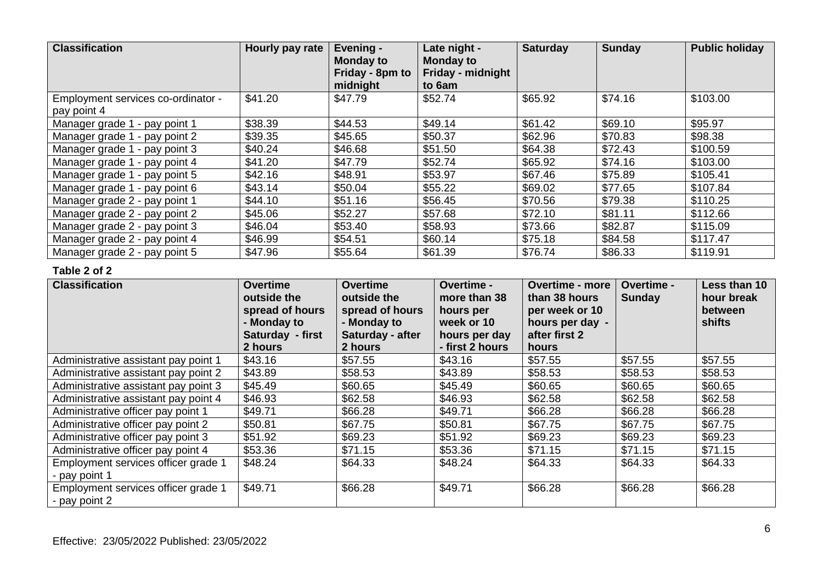| <b>Classification</b>              | Hourly pay rate | Evening -<br><b>Monday to</b><br>Friday - 8pm to<br>midnight | Late night -<br><b>Monday to</b><br>Friday - midnight<br>to 6am | <b>Saturday</b> | <b>Sunday</b> | <b>Public holiday</b> |
|------------------------------------|-----------------|--------------------------------------------------------------|-----------------------------------------------------------------|-----------------|---------------|-----------------------|
| Employment services co-ordinator - | \$41.20         | \$47.79                                                      | \$52.74                                                         | \$65.92         | \$74.16       | \$103.00              |
| pay point 4                        |                 |                                                              |                                                                 |                 |               |                       |
| Manager grade 1 - pay point 1      | \$38.39         | \$44.53                                                      | \$49.14                                                         | \$61.42         | \$69.10       | \$95.97               |
| Manager grade 1 - pay point 2      | \$39.35         | \$45.65                                                      | \$50.37                                                         | \$62.96         | \$70.83       | \$98.38               |
| Manager grade 1 - pay point 3      | \$40.24         | \$46.68                                                      | \$51.50                                                         | \$64.38         | \$72.43       | \$100.59              |
| Manager grade 1 - pay point 4      | \$41.20         | \$47.79                                                      | \$52.74                                                         | \$65.92         | \$74.16       | \$103.00              |
| Manager grade 1 - pay point 5      | \$42.16         | \$48.91                                                      | \$53.97                                                         | \$67.46         | \$75.89       | \$105.41              |
| Manager grade 1 - pay point 6      | \$43.14         | \$50.04                                                      | \$55.22                                                         | \$69.02         | \$77.65       | \$107.84              |
| Manager grade 2 - pay point 1      | \$44.10         | \$51.16                                                      | \$56.45                                                         | \$70.56         | \$79.38       | \$110.25              |
| Manager grade 2 - pay point 2      | \$45.06         | \$52.27                                                      | \$57.68                                                         | \$72.10         | \$81.11       | \$112.66              |
| Manager grade 2 - pay point 3      | \$46.04         | \$53.40                                                      | \$58.93                                                         | \$73.66         | \$82.87       | \$115.09              |
| Manager grade 2 - pay point 4      | \$46.99         | \$54.51                                                      | \$60.14                                                         | \$75.18         | \$84.58       | \$117.47              |
| Manager grade 2 - pay point 5      | \$47.96         | \$55.64                                                      | \$61.39                                                         | \$76.74         | \$86.33       | \$119.91              |

#### **Table 2 of 2**

| <b>Classification</b>                                | <b>Overtime</b><br>outside the<br>spread of hours<br>- Monday to<br>Saturday - first<br>2 hours | <b>Overtime</b><br>outside the<br>spread of hours<br>- Monday to<br>Saturday - after<br>2 hours | <b>Overtime -</b><br>more than 38<br>hours per<br>week or 10<br>hours per day<br>- first 2 hours | <b>Overtime - more</b><br>than 38 hours<br>per week or 10<br>hours per day -<br>after first 2<br>hours | Overtime -<br><b>Sunday</b> | Less than 10<br>hour break<br><b>between</b><br>shifts |
|------------------------------------------------------|-------------------------------------------------------------------------------------------------|-------------------------------------------------------------------------------------------------|--------------------------------------------------------------------------------------------------|--------------------------------------------------------------------------------------------------------|-----------------------------|--------------------------------------------------------|
| Administrative assistant pay point 1                 | \$43.16                                                                                         | \$57.55                                                                                         | \$43.16                                                                                          | \$57.55                                                                                                | \$57.55                     | \$57.55                                                |
| Administrative assistant pay point 2                 | \$43.89                                                                                         | \$58.53                                                                                         | \$43.89                                                                                          | \$58.53                                                                                                | \$58.53                     | \$58.53                                                |
| Administrative assistant pay point 3                 | \$45.49                                                                                         | \$60.65                                                                                         | \$45.49                                                                                          | \$60.65                                                                                                | \$60.65                     | \$60.65                                                |
| Administrative assistant pay point 4                 | \$46.93                                                                                         | \$62.58                                                                                         | \$46.93                                                                                          | \$62.58                                                                                                | \$62.58                     | \$62.58                                                |
| Administrative officer pay point 1                   | \$49.71                                                                                         | \$66.28                                                                                         | \$49.71                                                                                          | \$66.28                                                                                                | \$66.28                     | \$66.28                                                |
| Administrative officer pay point 2                   | \$50.81                                                                                         | \$67.75                                                                                         | \$50.81                                                                                          | \$67.75                                                                                                | \$67.75                     | \$67.75                                                |
| Administrative officer pay point 3                   | \$51.92                                                                                         | \$69.23                                                                                         | \$51.92                                                                                          | \$69.23                                                                                                | \$69.23                     | \$69.23                                                |
| Administrative officer pay point 4                   | \$53.36                                                                                         | \$71.15                                                                                         | \$53.36                                                                                          | \$71.15                                                                                                | \$71.15                     | \$71.15                                                |
| Employment services officer grade 1<br>- pay point 1 | \$48.24                                                                                         | \$64.33                                                                                         | \$48.24                                                                                          | \$64.33                                                                                                | \$64.33                     | \$64.33                                                |
| Employment services officer grade 1<br>- pay point 2 | \$49.71                                                                                         | \$66.28                                                                                         | \$49.71                                                                                          | \$66.28                                                                                                | \$66.28                     | \$66.28                                                |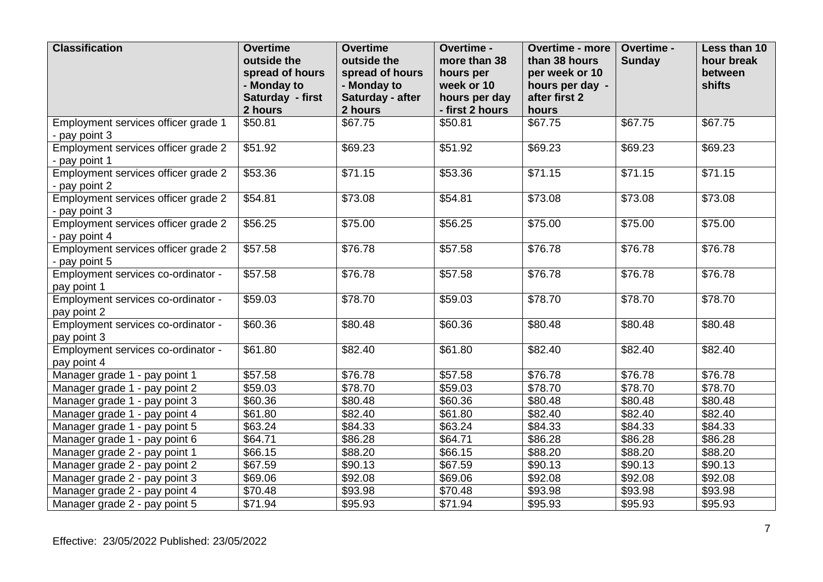| <b>Classification</b>                                | <b>Overtime</b><br>outside the<br>spread of hours<br>- Monday to<br>Saturday - first<br>2 hours | <b>Overtime</b><br>outside the<br>spread of hours<br>- Monday to<br>Saturday - after<br>2 hours | Overtime -<br>more than 38<br>hours per<br>week or 10<br>hours per day<br>- first 2 hours | <b>Overtime - more</b><br>than 38 hours<br>per week or 10<br>hours per day -<br>after first 2<br>hours | Overtime -<br><b>Sunday</b> | Less than 10<br>hour break<br>between<br>shifts |
|------------------------------------------------------|-------------------------------------------------------------------------------------------------|-------------------------------------------------------------------------------------------------|-------------------------------------------------------------------------------------------|--------------------------------------------------------------------------------------------------------|-----------------------------|-------------------------------------------------|
| Employment services officer grade 1                  | \$50.81                                                                                         | \$67.75                                                                                         | \$50.81                                                                                   | \$67.75                                                                                                | \$67.75                     | \$67.75                                         |
| - pay point 3                                        |                                                                                                 |                                                                                                 |                                                                                           |                                                                                                        |                             |                                                 |
| Employment services officer grade 2<br>- pay point 1 | \$51.92                                                                                         | \$69.23                                                                                         | \$51.92                                                                                   | \$69.23                                                                                                | \$69.23                     | \$69.23                                         |
| Employment services officer grade 2                  | \$53.36                                                                                         | \$71.15                                                                                         | \$53.36                                                                                   | \$71.15                                                                                                | \$71.15                     | \$71.15                                         |
| - pay point 2                                        |                                                                                                 |                                                                                                 |                                                                                           |                                                                                                        |                             |                                                 |
| Employment services officer grade 2<br>- pay point 3 | \$54.81                                                                                         | \$73.08                                                                                         | \$54.81                                                                                   | \$73.08                                                                                                | \$73.08                     | \$73.08                                         |
| Employment services officer grade 2<br>- pay point 4 | \$56.25                                                                                         | \$75.00                                                                                         | \$56.25                                                                                   | \$75.00                                                                                                | \$75.00                     | \$75.00                                         |
| Employment services officer grade 2<br>- pay point 5 | \$57.58                                                                                         | \$76.78                                                                                         | \$57.58                                                                                   | \$76.78                                                                                                | \$76.78                     | \$76.78                                         |
| Employment services co-ordinator -<br>pay point 1    | \$57.58                                                                                         | \$76.78                                                                                         | \$57.58                                                                                   | \$76.78                                                                                                | \$76.78                     | \$76.78                                         |
| Employment services co-ordinator -<br>pay point 2    | \$59.03                                                                                         | \$78.70                                                                                         | \$59.03                                                                                   | \$78.70                                                                                                | \$78.70                     | \$78.70                                         |
| Employment services co-ordinator -<br>pay point 3    | \$60.36                                                                                         | \$80.48                                                                                         | \$60.36                                                                                   | \$80.48                                                                                                | \$80.48                     | \$80.48                                         |
| Employment services co-ordinator -<br>pay point 4    | \$61.80                                                                                         | \$82.40                                                                                         | \$61.80                                                                                   | \$82.40                                                                                                | \$82.40                     | \$82.40                                         |
| Manager grade 1 - pay point 1                        | \$57.58                                                                                         | \$76.78                                                                                         | \$57.58                                                                                   | \$76.78                                                                                                | \$76.78                     | \$76.78                                         |
| Manager grade 1 - pay point 2                        | \$59.03                                                                                         | \$78.70                                                                                         | \$59.03                                                                                   | \$78.70                                                                                                | \$78.70                     | \$78.70                                         |
| Manager grade 1 - pay point 3                        | \$60.36                                                                                         | \$80.48                                                                                         | \$60.36                                                                                   | \$80.48                                                                                                | \$80.48                     | \$80.48                                         |
| Manager grade 1 - pay point 4                        | \$61.80                                                                                         | \$82.40                                                                                         | \$61.80                                                                                   | \$82.40                                                                                                | \$82.40                     | \$82.40                                         |
| Manager grade 1 - pay point 5                        | \$63.24                                                                                         | \$84.33                                                                                         | \$63.24                                                                                   | \$84.33                                                                                                | \$84.33                     | \$84.33                                         |
| Manager grade 1 - pay point 6                        | \$64.71                                                                                         | \$86.28                                                                                         | \$64.71                                                                                   | \$86.28                                                                                                | \$86.28                     | \$86.28                                         |
| Manager grade 2 - pay point 1                        | \$66.15                                                                                         | \$88.20                                                                                         | \$66.15                                                                                   | \$88.20                                                                                                | \$88.20                     | \$88.20                                         |
| Manager grade 2 - pay point 2                        | \$67.59                                                                                         | \$90.13                                                                                         | \$67.59                                                                                   | \$90.13                                                                                                | \$90.13                     | \$90.13                                         |
| Manager grade 2 - pay point 3                        | \$69.06                                                                                         | \$92.08                                                                                         | \$69.06                                                                                   | \$92.08                                                                                                | \$92.08                     | \$92.08                                         |
| Manager grade 2 - pay point 4                        | \$70.48                                                                                         | \$93.98                                                                                         | $\overline{$}70.48$                                                                       | \$93.98                                                                                                | \$93.98                     | \$93.98                                         |
| Manager grade 2 - pay point 5                        | \$71.94                                                                                         | \$95.93                                                                                         | \$71.94                                                                                   | \$95.93                                                                                                | \$95.93                     | \$95.93                                         |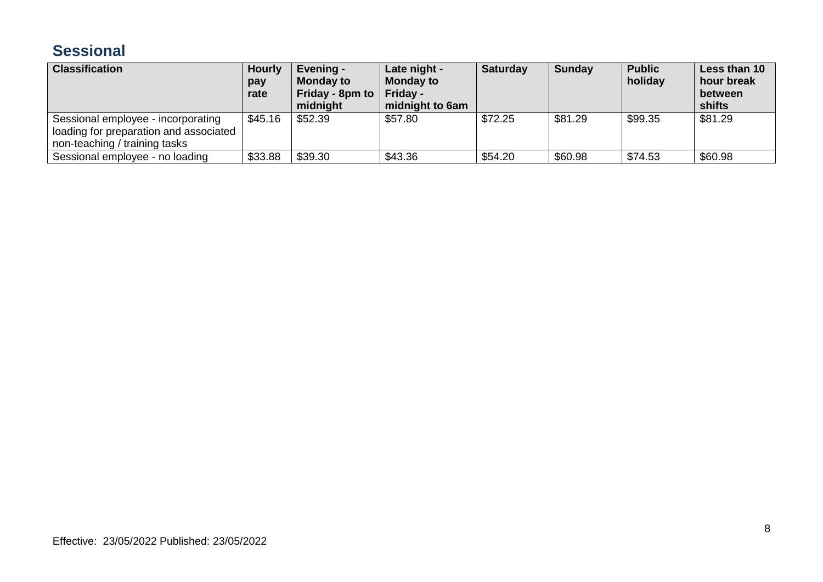# **Sessional**

| <b>Classification</b>                                                                                         | <b>Hourly</b><br>pay<br>rate | Evening -<br><b>Monday to</b><br>Friday - 8pm to $\vert$<br>midnight | Late night -<br><b>Monday to</b><br>Friday -<br>midnight to 6am | <b>Saturday</b> | <b>Sunday</b> | <b>Public</b><br>holiday | Less than 10<br>hour break<br>between<br>shifts |
|---------------------------------------------------------------------------------------------------------------|------------------------------|----------------------------------------------------------------------|-----------------------------------------------------------------|-----------------|---------------|--------------------------|-------------------------------------------------|
| Sessional employee - incorporating<br>loading for preparation and associated<br>non-teaching / training tasks | \$45.16                      | \$52.39                                                              | \$57.80                                                         | \$72.25         | \$81.29       | \$99.35                  | \$81.29                                         |
| Sessional employee - no loading                                                                               | \$33.88                      | \$39.30                                                              | \$43.36                                                         | \$54.20         | \$60.98       | \$74.53                  | \$60.98                                         |